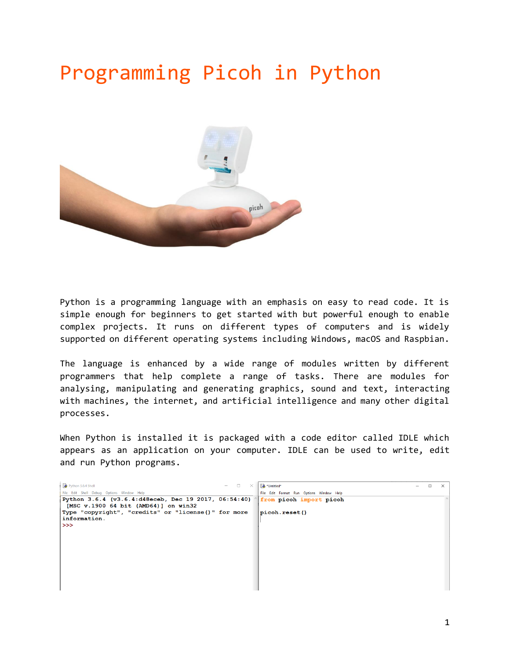## Programming Picoh in Python



Python is a programming language with an emphasis on easy to read code. It is simple enough for beginners to get started with but powerful enough to enable complex projects. It runs on different types of computers and is widely supported on different operating systems including Windows, macOS and Raspbian.

The language is enhanced by a wide range of modules written by different programmers that help complete a range of tasks. There are modules for analysing, manipulating and generating graphics, sound and text, interacting with machines, the internet, and artificial intelligence and many other digital processes.

When Python is installed it is packaged with a code editor called IDLE which appears as an application on your computer. IDLE can be used to write, edit and run Python programs.

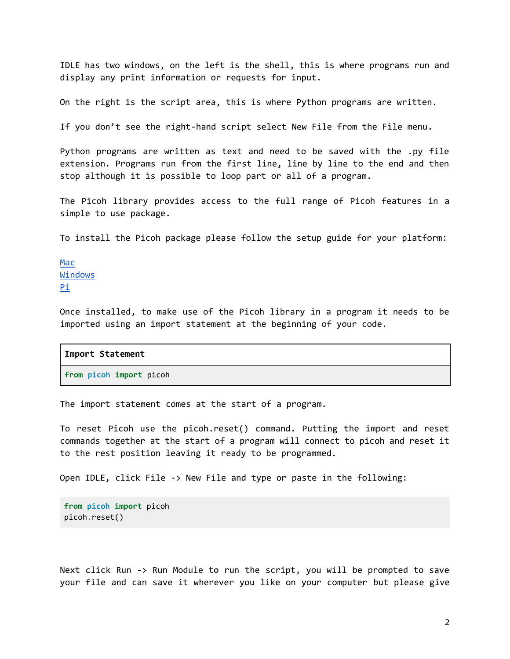IDLE has two windows, on the left is the shell, this is where programs run and display any print information or requests for input.

On the right is the script area, this is where Python programs are written.

If you don't see the right-hand script select New File from the File menu.

Python programs are written as text and need to be saved with the .py file extension. Programs run from the first line, line by line to the end and then stop although it is possible to loop part or all of a program.

The Picoh library provides access to the full range of Picoh features in a simple to use package.

To install the Picoh package please follow the setup guide for your platform:

[Mac](https://github.com/ohbot/picoh-python/blob/master/Docs/Setup_Mac.md) [Windows](https://github.com/ohbot/picoh-python/blob/master/Docs/Setup_Windows.md) [Pi](https://github.com/ohbot/picoh-python/blob/master/Docs/Setup_Pi.md)

Once installed, to make use of the Picoh library in a program it needs to be imported using an import statement at the beginning of your code.

| Import Statement        |  |
|-------------------------|--|
| from picoh import picoh |  |

The import statement comes at the start of a program.

To reset Picoh use the picoh.reset() command. Putting the import and reset commands together at the start of a program will connect to picoh and reset it to the rest position leaving it ready to be programmed.

Open IDLE, click File -> New File and type or paste in the following:

```
from picoh import picoh
picoh.reset()
```
Next click Run -> Run Module to run the script, you will be prompted to save your file and can save it wherever you like on your computer but please give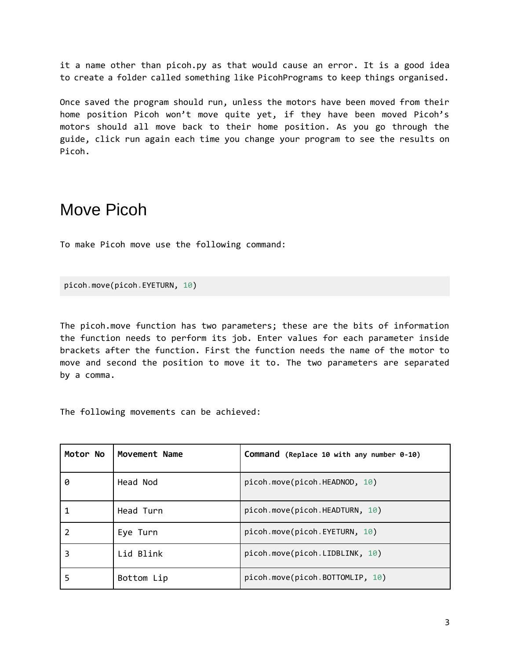it a name other than picoh.py as that would cause an error. It is a good idea to create a folder called something like PicohPrograms to keep things organised.

Once saved the program should run, unless the motors have been moved from their home position Picoh won't move quite yet, if they have been moved Picoh's motors should all move back to their home position. As you go through the guide, click run again each time you change your program to see the results on Picoh.

## Move Picoh

To make Picoh move use the following command:

picoh.move(picoh.EYETURN, 10)

The picoh.move function has two parameters; these are the bits of information the function needs to perform its job. Enter values for each parameter inside brackets after the function. First the function needs the name of the motor to move and second the position to move it to. The two parameters are separated by a comma.

The following movements can be achieved:

| Motor No | Movement Name | Command (Replace 10 with any number 0-10) |
|----------|---------------|-------------------------------------------|
| ø        | Head Nod      | picoh.move(picoh.HEADNOD, 10)             |
|          | Head Turn     | picoh.move(picoh.HEADTURN, 10)            |
|          | Eye Turn      | picoh.move(picoh.EYETURN, 10)             |
|          | Lid Blink     | picoh.move(picoh.LIDBLINK, 10)            |
|          | Bottom Lip    | picoh.move(picoh.BOTTOMLIP, 10)           |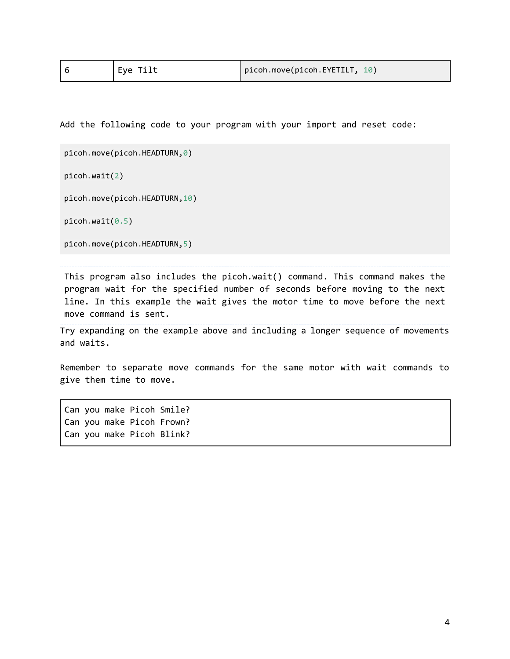| Eye Tilt | picoh.move(picoh.EYETILT, 10) |  |
|----------|-------------------------------|--|
|----------|-------------------------------|--|

Add the following code to your program with your import and reset code:

```
picoh.move(picoh.HEADTURN,0)
```
picoh.wait(2)

picoh.move(picoh.HEADTURN,10)

picoh.wait(0.5)

```
picoh.move(picoh.HEADTURN,5)
```
This program also includes the picoh.wait() command. This command makes the program wait for the specified number of seconds before moving to the next line. In this example the wait gives the motor time to move before the next move command is sent.

Try expanding on the example above and including a longer sequence of movements and waits.

Remember to separate move commands for the same motor with wait commands to give them time to move.

Can you make Picoh Smile? Can you make Picoh Frown? Can you make Picoh Blink?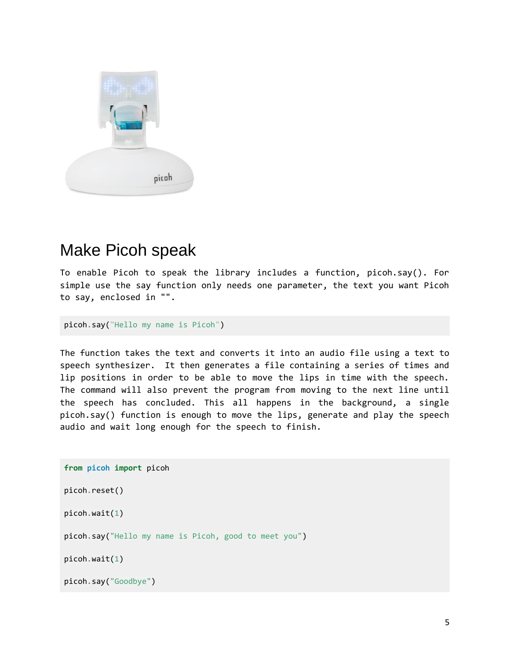

## Make Picoh speak

To enable Picoh to speak the library includes a function, picoh.say(). For simple use the say function only needs one parameter, the text you want Picoh to say, enclosed in "".

```
picoh.say("Hello my name is Picoh")
```
The function takes the text and converts it into an audio file using a text to speech synthesizer. It then generates a file containing a series of times and lip positions in order to be able to move the lips in time with the speech. The command will also prevent the program from moving to the next line until the speech has concluded. This all happens in the background, a single picoh.say() function is enough to move the lips, generate and play the speech audio and wait long enough for the speech to finish.

```
from picoh import picoh
picoh.reset()
picoh.wait(1)
picoh.say("Hello my name is Picoh, good to meet you")
picoh.wait(1)
picoh.say("Goodbye")
```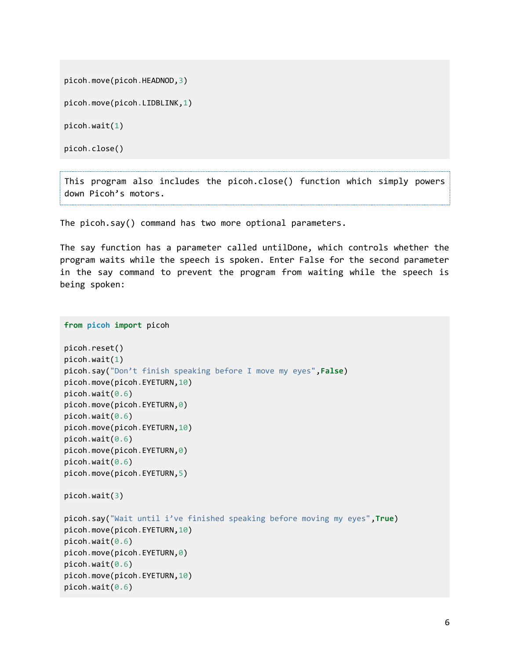picoh.move(picoh.HEADNOD,3)

picoh.move(picoh.LIDBLINK,1)

picoh.wait(1)

picoh.close()

This program also includes the picoh.close() function which simply powers down Picoh's motors.

The picoh.say() command has two more optional parameters.

The say function has a parameter called untilDone, which controls whether the program waits while the speech is spoken. Enter False for the second parameter in the say command to prevent the program from waiting while the speech is being spoken:

```
from picoh import picoh
picoh.reset()
picoh.wait(1)
picoh.say("Don't finish speaking before I move my eyes",False)
picoh.move(picoh.EYETURN,10)
picoh.wait(0.6)
picoh.move(picoh.EYETURN,0)
picoh.wait(0.6)
picoh.move(picoh.EYETURN,10)
picoh.wait(0.6)
picoh.move(picoh.EYETURN,0)
picoh.wait(0.6)
picoh.move(picoh.EYETURN,5)
picoh.wait(3)
picoh.say("Wait until i've finished speaking before moving my eyes",True)
picoh.move(picoh.EYETURN,10)
picoh.wait(0.6)
picoh.move(picoh.EYETURN,0)
picoh.wait(0.6)
picoh.move(picoh.EYETURN,10)
picoh.wait(0.6)
```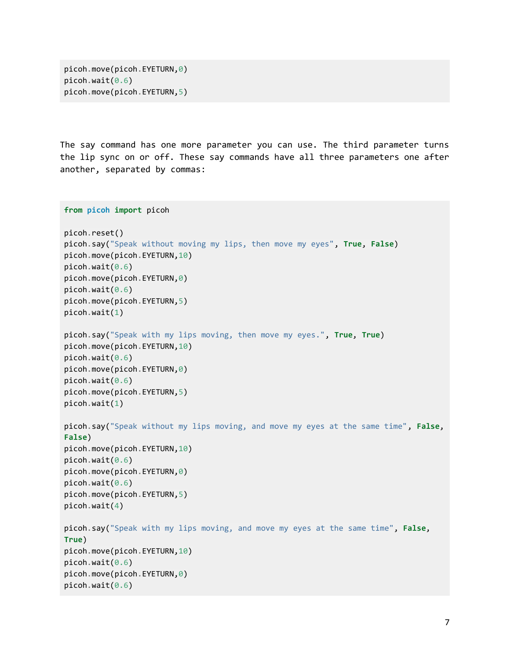```
picoh.move(picoh.EYETURN,0)
picoh.wait(0.6)
picoh.move(picoh.EYETURN,5)
```
The say command has one more parameter you can use. The third parameter turns the lip sync on or off. These say commands have all three parameters one after another, separated by commas:

```
from picoh import picoh
picoh.reset()
picoh.say("Speak without moving my lips, then move my eyes", True, False)
picoh.move(picoh.EYETURN,10)
picoh.wait(0.6)
picoh.move(picoh.EYETURN,0)
picoh.wait(0.6)picoh.move(picoh.EYETURN,5)
picoh.wait(1)
picoh.say("Speak with my lips moving, then move my eyes.", True, True)
picoh.move(picoh.EYETURN,10)
picoh.wait(0.6)picoh.move(picoh.EYETURN,0)
picoh.wait(0.6)
picoh.move(picoh.EYETURN,5)
picoh.wait(1)
picoh.say("Speak without my lips moving, and move my eyes at the same time", False, 
False)
picoh.move(picoh.EYETURN,10)
picoh.wait(0.6)
picoh.move(picoh.EYETURN,0)
picoh.wait(0.6)picoh.move(picoh.EYETURN,5)
picoh.wait(4)
picoh.say("Speak with my lips moving, and move my eyes at the same time", False, 
True)
picoh.move(picoh.EYETURN,10)
picoh.wait(0.6)
picoh.move(picoh.EYETURN,0)
picoh.wait(0.6)
```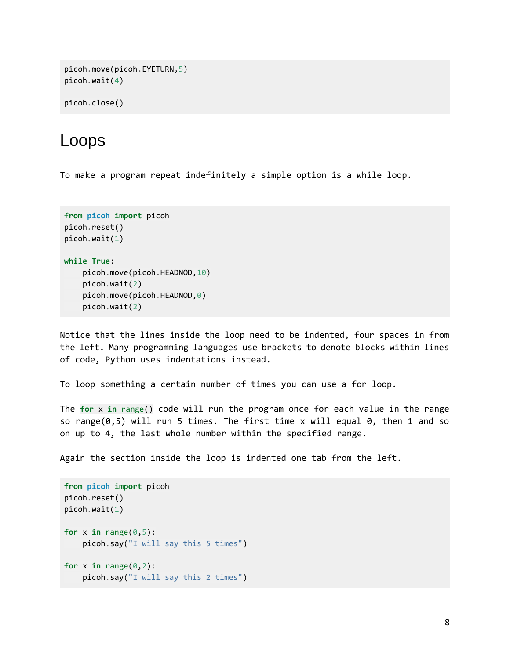```
picoh.move(picoh.EYETURN,5)
picoh.wait(4)
```

```
picoh.close()
```
## Loops

To make a program repeat indefinitely a simple option is a while loop.

```
from picoh import picoh
picoh.reset()
picoh.wait(1)
while True:
     picoh.move(picoh.HEADNOD,10)
     picoh.wait(2)
     picoh.move(picoh.HEADNOD,0)
     picoh.wait(2)
```
Notice that the lines inside the loop need to be indented, four spaces in from the left. Many programming languages use brackets to denote blocks within lines of code, Python uses indentations instead.

To loop something a certain number of times you can use a for loop.

The **for** x **in** range() code will run the program once for each value in the range so range(0,5) will run 5 times. The first time x will equal 0, then 1 and so on up to 4, the last whole number within the specified range.

Again the section inside the loop is indented one tab from the left.

```
from picoh import picoh
picoh.reset()
picoh.wait(1)
for x in range(0,5):
     picoh.say("I will say this 5 times")
for x in range(\theta, 2):
     picoh.say("I will say this 2 times")
```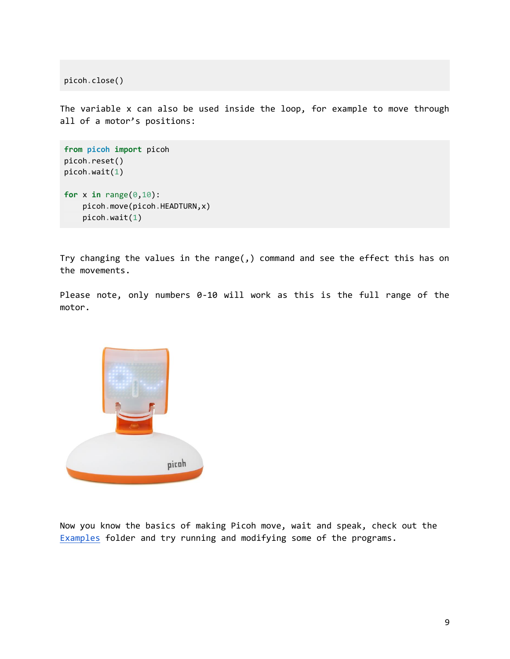picoh.close()

The variable x can also be used inside the loop, for example to move through all of a motor's positions:

```
from picoh import picoh
picoh.reset()
picoh.wait(1)
for x in range(\theta,1\theta):
     picoh.move(picoh.HEADTURN,x)
     picoh.wait(1)
```
Try changing the values in the range(,) command and see the effect this has on the movements.

Please note, only numbers 0-10 will work as this is the full range of the motor.



Now you know the basics of making Picoh move, wait and speak, check out the [Examples](https://github.com/ohbot/picoh-python/tree/master/examples/) folder and try running and modifying some of the programs.